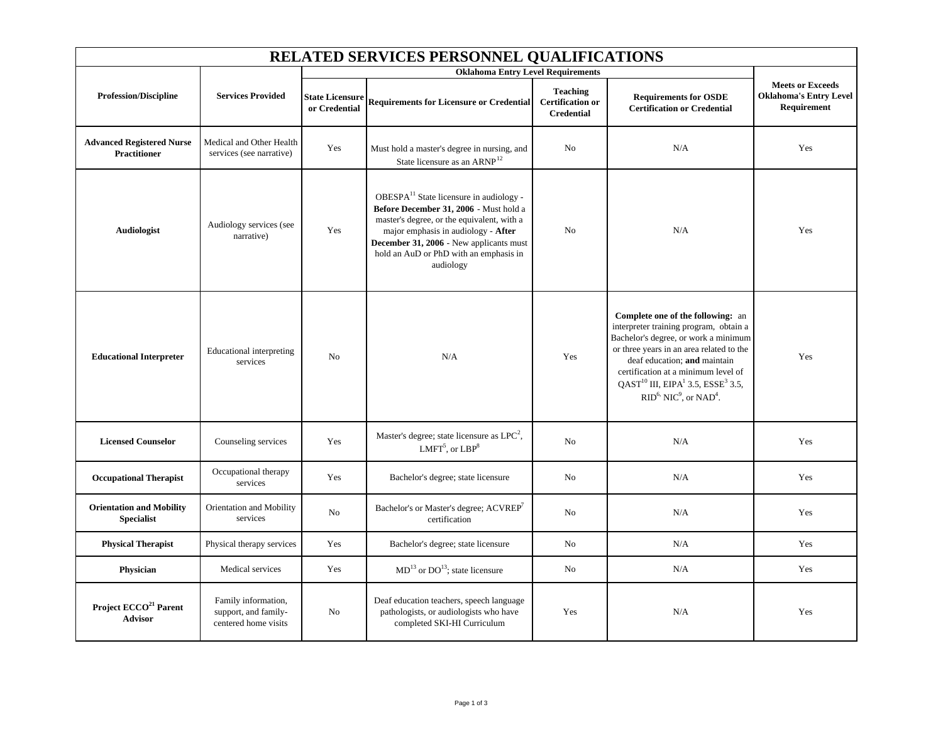| RELATED SERVICES PERSONNEL QUALIFICATIONS               |                                                                     |                                          |                                                                                                                                                                                                                                                                                      |                                                                 |                                                                                                                                                                                                                                                                                                                                                               |                                                                         |  |
|---------------------------------------------------------|---------------------------------------------------------------------|------------------------------------------|--------------------------------------------------------------------------------------------------------------------------------------------------------------------------------------------------------------------------------------------------------------------------------------|-----------------------------------------------------------------|---------------------------------------------------------------------------------------------------------------------------------------------------------------------------------------------------------------------------------------------------------------------------------------------------------------------------------------------------------------|-------------------------------------------------------------------------|--|
|                                                         |                                                                     | <b>Oklahoma Entry Level Requirements</b> |                                                                                                                                                                                                                                                                                      |                                                                 |                                                                                                                                                                                                                                                                                                                                                               |                                                                         |  |
| <b>Profession/Discipline</b>                            | <b>Services Provided</b>                                            | <b>State Licensure</b><br>or Credential  | <b>Requirements for Licensure or Credential</b>                                                                                                                                                                                                                                      | <b>Teaching</b><br><b>Certification or</b><br><b>Credential</b> | <b>Requirements for OSDE</b><br><b>Certification or Credential</b>                                                                                                                                                                                                                                                                                            | <b>Meets or Exceeds</b><br><b>Oklahoma's Entry Level</b><br>Requirement |  |
| <b>Advanced Registered Nurse</b><br><b>Practitioner</b> | Medical and Other Health<br>services (see narrative)                | Yes                                      | Must hold a master's degree in nursing, and<br>State licensure as an ARNP <sup>12</sup>                                                                                                                                                                                              | N <sub>o</sub>                                                  | N/A                                                                                                                                                                                                                                                                                                                                                           | Yes                                                                     |  |
| Audiologist                                             | Audiology services (see<br>narrative)                               | Yes                                      | OBESPA <sup>11</sup> State licensure in audiology -<br>Before December 31, 2006 - Must hold a<br>master's degree, or the equivalent, with a<br>major emphasis in audiology - After<br>December 31, 2006 - New applicants must<br>hold an AuD or PhD with an emphasis in<br>audiology | N <sub>o</sub>                                                  | N/A                                                                                                                                                                                                                                                                                                                                                           | Yes                                                                     |  |
| <b>Educational Interpreter</b>                          | <b>Educational</b> interpreting<br>services                         | N <sub>0</sub>                           | N/A                                                                                                                                                                                                                                                                                  | Yes                                                             | Complete one of the following: an<br>interpreter training program, obtain a<br>Bachelor's degree, or work a minimum<br>or three years in an area related to the<br>deaf education; and maintain<br>certification at a minimum level of<br>$QAST^{10}$ III, EIPA <sup>1</sup> 3.5, ESSE <sup>3</sup> 3.5,<br>$RID6$ , NIC <sup>9</sup> , or NAD <sup>4</sup> . | Yes                                                                     |  |
| <b>Licensed Counselor</b>                               | Counseling services                                                 | Yes                                      | Master's degree; state licensure as LPC <sup>2</sup> ,<br>$LMFT5$ , or $LBP8$                                                                                                                                                                                                        | N <sub>0</sub>                                                  | N/A                                                                                                                                                                                                                                                                                                                                                           | Yes                                                                     |  |
| <b>Occupational Therapist</b>                           | Occupational therapy<br>services                                    | Yes                                      | Bachelor's degree; state licensure                                                                                                                                                                                                                                                   | No                                                              | N/A                                                                                                                                                                                                                                                                                                                                                           | Yes                                                                     |  |
| <b>Orientation and Mobility</b><br><b>Specialist</b>    | Orientation and Mobility<br>services                                | No                                       | Bachelor's or Master's degree; ACVREP'<br>certification                                                                                                                                                                                                                              | No                                                              | N/A                                                                                                                                                                                                                                                                                                                                                           | Yes                                                                     |  |
| <b>Physical Therapist</b>                               | Physical therapy services                                           | Yes                                      | Bachelor's degree; state licensure                                                                                                                                                                                                                                                   | N <sub>o</sub>                                                  | N/A                                                                                                                                                                                                                                                                                                                                                           | Yes                                                                     |  |
| Physician                                               | Medical services                                                    | Yes                                      | $MD13$ or $DO13$ ; state licensure                                                                                                                                                                                                                                                   | N <sub>o</sub>                                                  | N/A                                                                                                                                                                                                                                                                                                                                                           | Yes                                                                     |  |
| Project ECCO <sup>21</sup> Parent<br><b>Advisor</b>     | Family information,<br>support, and family-<br>centered home visits | N <sub>0</sub>                           | Deaf education teachers, speech language<br>pathologists, or audiologists who have<br>completed SKI-HI Curriculum                                                                                                                                                                    | Yes                                                             | N/A                                                                                                                                                                                                                                                                                                                                                           | Yes                                                                     |  |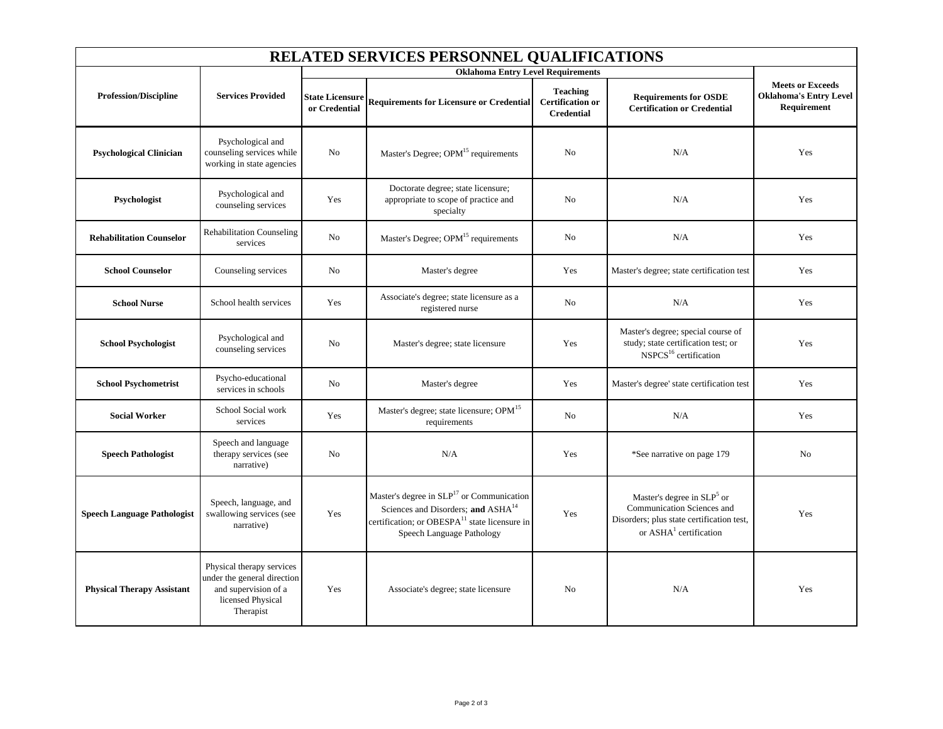| <b>RELATED SERVICES PERSONNEL QUALIFICATIONS</b> |                                                                                                                    |                                          |                                                                                                                                                                                                   |                                                                 |                                                                                                                                               |                                                                         |  |
|--------------------------------------------------|--------------------------------------------------------------------------------------------------------------------|------------------------------------------|---------------------------------------------------------------------------------------------------------------------------------------------------------------------------------------------------|-----------------------------------------------------------------|-----------------------------------------------------------------------------------------------------------------------------------------------|-------------------------------------------------------------------------|--|
|                                                  |                                                                                                                    | <b>Oklahoma Entry Level Requirements</b> |                                                                                                                                                                                                   |                                                                 |                                                                                                                                               |                                                                         |  |
| <b>Profession/Discipline</b>                     | <b>Services Provided</b>                                                                                           | <b>State Licensure</b><br>or Credential  | <b>Requirements for Licensure or Credential</b>                                                                                                                                                   | <b>Teaching</b><br><b>Certification or</b><br><b>Credential</b> | <b>Requirements for OSDE</b><br><b>Certification or Credential</b>                                                                            | <b>Meets or Exceeds</b><br><b>Oklahoma's Entry Level</b><br>Requirement |  |
| <b>Psychological Clinician</b>                   | Psychological and<br>counseling services while<br>working in state agencies                                        | No                                       | Master's Degree; OPM <sup>15</sup> requirements                                                                                                                                                   | No                                                              | N/A                                                                                                                                           | Yes                                                                     |  |
| Psychologist                                     | Psychological and<br>counseling services                                                                           | Yes                                      | Doctorate degree; state licensure;<br>appropriate to scope of practice and<br>specialty                                                                                                           | No                                                              | N/A                                                                                                                                           | Yes                                                                     |  |
| <b>Rehabilitation Counselor</b>                  | <b>Rehabilitation Counseling</b><br>services                                                                       | N <sub>0</sub>                           | Master's Degree; OPM <sup>15</sup> requirements                                                                                                                                                   | No                                                              | N/A                                                                                                                                           | Yes                                                                     |  |
| <b>School Counselor</b>                          | Counseling services                                                                                                | N <sub>0</sub>                           | Master's degree                                                                                                                                                                                   | Yes                                                             | Master's degree; state certification test                                                                                                     | Yes                                                                     |  |
| <b>School Nurse</b>                              | School health services                                                                                             | Yes                                      | Associate's degree; state licensure as a<br>registered nurse                                                                                                                                      | No                                                              | N/A                                                                                                                                           | Yes                                                                     |  |
| <b>School Psychologist</b>                       | Psychological and<br>counseling services                                                                           | No                                       | Master's degree; state licensure                                                                                                                                                                  | Yes                                                             | Master's degree; special course of<br>study; state certification test; or<br>NSPCS <sup>16</sup> certification                                | Yes                                                                     |  |
| <b>School Psychometrist</b>                      | Psycho-educational<br>services in schools                                                                          | No                                       | Master's degree                                                                                                                                                                                   | Yes                                                             | Master's degree' state certification test                                                                                                     | Yes                                                                     |  |
| <b>Social Worker</b>                             | School Social work<br>services                                                                                     | Yes                                      | Master's degree; state licensure; OPM <sup>15</sup><br>requirements                                                                                                                               | No                                                              | N/A                                                                                                                                           | Yes                                                                     |  |
| <b>Speech Pathologist</b>                        | Speech and language<br>therapy services (see<br>narrative)                                                         | No                                       | N/A                                                                                                                                                                                               | Yes                                                             | *See narrative on page 179                                                                                                                    | No                                                                      |  |
| <b>Speech Language Pathologist</b>               | Speech, language, and<br>swallowing services (see<br>narrative)                                                    | Yes                                      | Master's degree in SLP <sup>17</sup> or Communication<br>Sciences and Disorders; and ASHA <sup>14</sup><br>certification; or OBESPA <sup>11</sup> state licensure in<br>Speech Language Pathology | Yes                                                             | Master's degree in $SLP5$ or<br>Communication Sciences and<br>Disorders; plus state certification test,<br>or ASHA <sup>1</sup> certification | Yes                                                                     |  |
| <b>Physical Therapy Assistant</b>                | Physical therapy services<br>under the general direction<br>and supervision of a<br>licensed Physical<br>Therapist | Yes                                      | Associate's degree; state licensure                                                                                                                                                               | No                                                              | N/A                                                                                                                                           | Yes                                                                     |  |